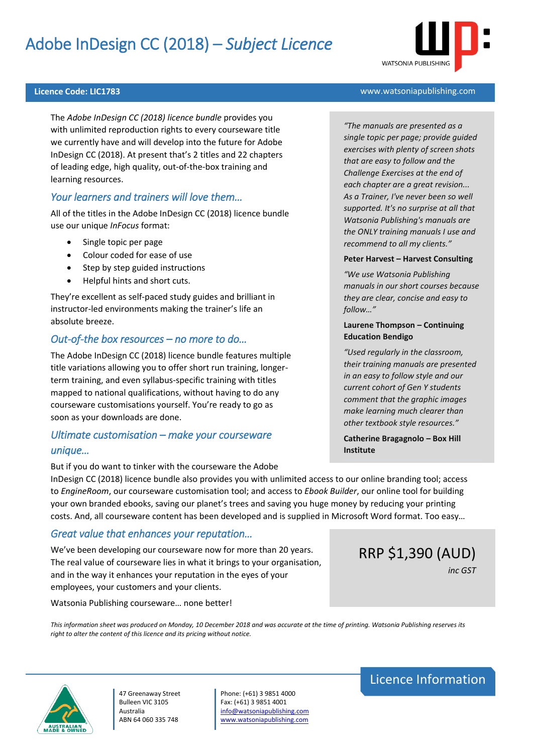# Adobe InDesign CC (2018) – *Subject Licence*



## **Licence Code: LIC1783** www.watsoniapublishing.com

The *Adobe InDesign CC (2018) licence bundle* provides you with unlimited reproduction rights to every courseware title we currently have and will develop into the future for Adobe InDesign CC (2018). At present that's 2 titles and 22 chapters of leading edge, high quality, out-of-the-box training and learning resources.

## *Your learners and trainers will love them…*

All of the titles in the Adobe InDesign CC (2018) licence bundle use our unique *InFocus* format:

- Single topic per page
- Colour coded for ease of use
- Step by step guided instructions
- Helpful hints and short cuts.

They're excellent as self-paced study guides and brilliant in instructor-led environments making the trainer's life an absolute breeze.

## *Out-of-the box resources – no more to do…*

The Adobe InDesign CC (2018) licence bundle features multiple title variations allowing you to offer short run training, longerterm training, and even syllabus-specific training with titles mapped to national qualifications, without having to do any courseware customisations yourself. You're ready to go as soon as your downloads are done.

# *Ultimate customisation – make your courseware unique…*

But if you do want to tinker with the courseware the Adobe

## *"The manuals are presented as a single topic per page; provide guided exercises with plenty of screen shots that are easy to follow and the Challenge Exercises at the end of each chapter are a great revision... As a Trainer, I've never been so well supported. It's no surprise at all that Watsonia Publishing's manuals are the ONLY training manuals I use and recommend to all my clients."*

#### **Peter Harvest – Harvest Consulting**

*"We use Watsonia Publishing manuals in our short courses because they are clear, concise and easy to follow…"*

## **Laurene Thompson – Continuing Education Bendigo**

*"Used regularly in the classroom, their training manuals are presented in an easy to follow style and our current cohort of Gen Y students comment that the graphic images make learning much clearer than other textbook style resources."*

**Catherine Bragagnolo – Box Hill Institute**

InDesign CC (2018) licence bundle also provides you with unlimited access to our online branding tool; access to *EngineRoom*, our courseware customisation tool; and access to *Ebook Builder*, our online tool for building your own branded ebooks, saving our planet's trees and saving you huge money by reducing your printing costs. And, all courseware content has been developed and is supplied in Microsoft Word format. Too easy…

## *Great value that enhances your reputation…*

We've been developing our courseware now for more than 20 years. The real value of courseware lies in what it brings to your organisation, and in the way it enhances your reputation in the eyes of your employees, your customers and your clients.

Watsonia Publishing courseware… none better!

*This information sheet was produced on Monday, 10 December 2018 and was accurate at the time of printing. Watsonia Publishing reserves its right to alter the content of this licence and its pricing without notice.*



47 Greenaway Street Bulleen VIC 3105 Australia ABN 64 060 335 748

Phone: (+61) 3 9851 4000 Fax: (+61) 3 9851 4001 [info@watsoniapublishing.com](mailto:info@watsoniapublishing.com) [www.watsoniapublishing.com](http://www.watsoniapublishing.com/)

# Licence Information

RRP \$1,390 (AUD)

*inc GST*